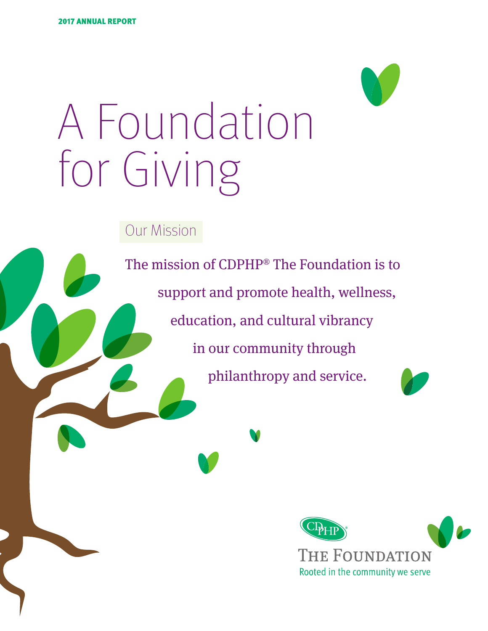

Our Mission

The mission of CDPHP® The Foundation is to support and promote health, wellness, education, and cultural vibrancy in our community through philanthropy and service.



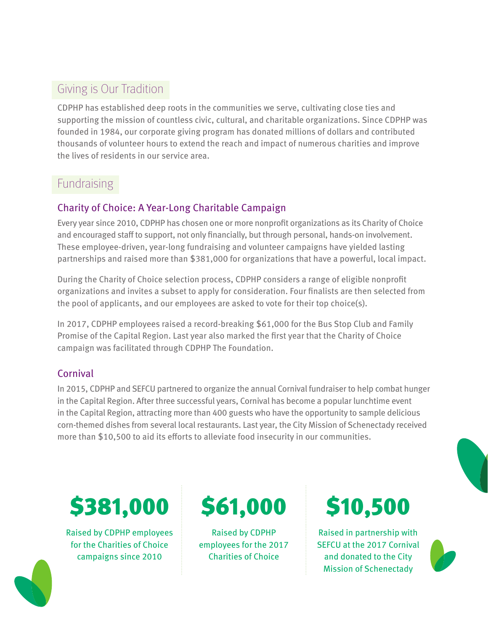# Giving is Our Tradition

CDPHP has established deep roots in the communities we serve, cultivating close ties and supporting the mission of countless civic, cultural, and charitable organizations. Since CDPHP was founded in 1984, our corporate giving program has donated millions of dollars and contributed thousands of volunteer hours to extend the reach and impact of numerous charities and improve the lives of residents in our service area.

### **Fundraising**

### Charity of Choice: A Year-Long Charitable Campaign

Every year since 2010, CDPHP has chosen one or more nonprofit organizations as its Charity of Choice and encouraged staff to support, not only financially, but through personal, hands-on involvement. These employee-driven, year-long fundraising and volunteer campaigns have yielded lasting partnerships and raised more than \$381,000 for organizations that have a powerful, local impact.

During the Charity of Choice selection process, CDPHP considers a range of eligible nonprofit organizations and invites a subset to apply for consideration. Four finalists are then selected from the pool of applicants, and our employees are asked to vote for their top choice(s).

In 2017, CDPHP employees raised a record-breaking \$61,000 for the Bus Stop Club and Family Promise of the Capital Region. Last year also marked the first year that the Charity of Choice campaign was facilitated through CDPHP The Foundation.

### Cornival

In 2015, CDPHP and SEFCU partnered to organize the annual Cornival fundraiser to help combat hunger in the Capital Region. After three successful years, Cornival has become a popular lunchtime event in the Capital Region, attracting more than 400 guests who have the opportunity to sample delicious corn-themed dishes from several local restaurants. Last year, the City Mission of Schenectady received more than \$10,500 to aid its efforts to alleviate food insecurity in our communities.

# **\$381,000 \$61,000 \$10,500**

Raised by CDPHP employees for the Charities of Choice campaigns since 2010

Raised by CDPHP employees for the 2017 Charities of Choice

Raised in partnership with SEFCU at the 2017 Cornival and donated to the City Mission of Schenectady



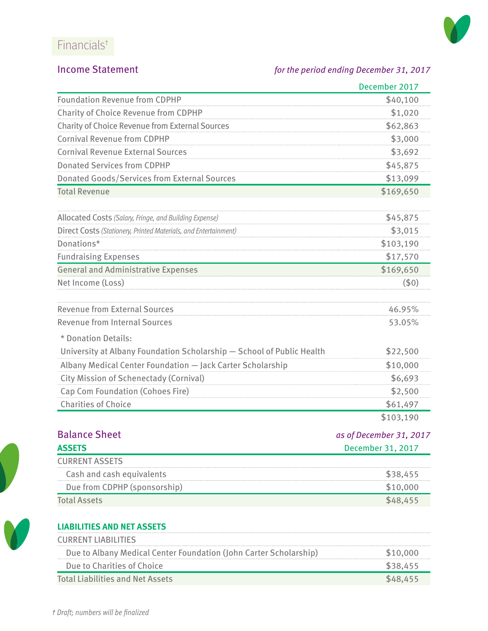# Financials†



#### Income Statement *for the period ending December 31, 2017*

|                                                                       | December 2017           |
|-----------------------------------------------------------------------|-------------------------|
| <b>Foundation Revenue from CDPHP</b>                                  | \$40,100                |
| <b>Charity of Choice Revenue from CDPHP</b>                           | \$1,020                 |
| <b>Charity of Choice Revenue from External Sources</b>                | \$62,863                |
| <b>Cornival Revenue from CDPHP</b>                                    | \$3,000                 |
| <b>Cornival Revenue External Sources</b>                              | \$3,692                 |
| <b>Donated Services from CDPHP</b>                                    | \$45,875                |
| <b>Donated Goods/Services from External Sources</b>                   | \$13,099                |
| <b>Total Revenue</b>                                                  | \$169,650               |
| Allocated Costs (Salary, Fringe, and Building Expense)                | \$45,875                |
| Direct Costs (Stationery, Printed Materials, and Entertainment)       | \$3,015                 |
| Donations*                                                            | \$103,190               |
| <b>Fundraising Expenses</b>                                           | \$17,570                |
| <b>General and Administrative Expenses</b>                            | \$169,650               |
| Net Income (Loss)                                                     | (50)                    |
| <b>Revenue from External Sources</b>                                  | 46.95%                  |
| <b>Revenue from Internal Sources</b>                                  | 53.05%                  |
| * Donation Details:                                                   |                         |
| University at Albany Foundation Scholarship - School of Public Health | \$22,500                |
| Albany Medical Center Foundation - Jack Carter Scholarship            | \$10,000                |
| <b>City Mission of Schenectady (Cornival)</b>                         | \$6,693                 |
| Cap Com Foundation (Cohoes Fire)                                      | \$2,500                 |
| <b>Charities of Choice</b>                                            | \$61,497                |
|                                                                       | \$103,190               |
| <b>Balance Sheet</b>                                                  | as of December 31, 2017 |
| <b>ASSETS</b>                                                         | December 31, 2017       |
| <b>CURRENT ASSETS</b>                                                 |                         |
| Cash and cash equivalents                                             | \$38,455                |
| Due from CDPHP (sponsorship)                                          | \$10,000                |

| <b>Total Assets</b> | \$48,455 |
|---------------------|----------|
|                     |          |



#### **LIABILITIES AND NET ASSETS**

| <b>CURRENT LIABILITIES</b>                                        |          |
|-------------------------------------------------------------------|----------|
| Due to Albany Medical Center Foundation (John Carter Scholarship) | \$10,000 |
| Due to Charities of Choice                                        | \$38.455 |
| <b>Total Liabilities and Net Assets</b>                           | \$48.455 |